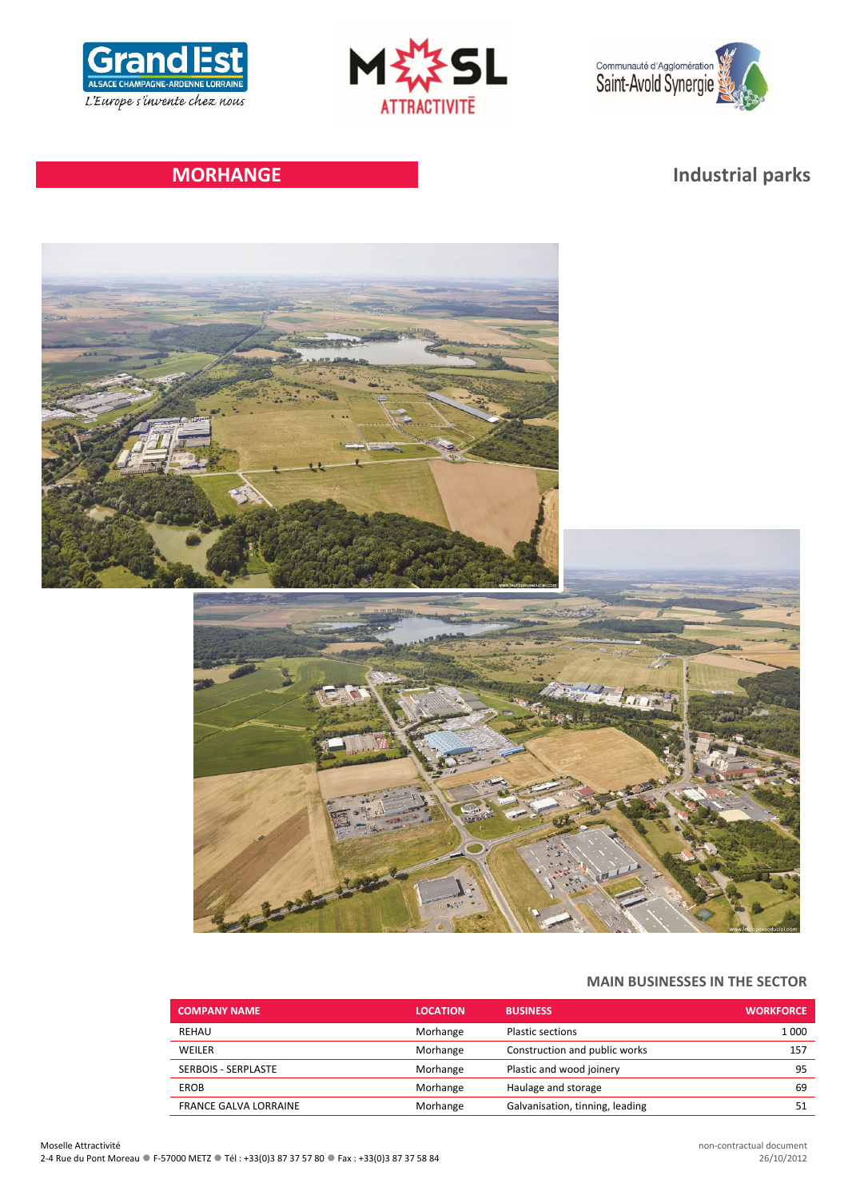





# **MORHANGE Industrial parks**



# **MAIN BUSINESSES IN THE SECTOR**

| <b>COMPANY NAME</b>          | <b>LOCATION</b> | <b>BUSINESS</b>                 | <b>WORKFORCE</b> |
|------------------------------|-----------------|---------------------------------|------------------|
| REHAU                        | Morhange        | <b>Plastic sections</b>         | 1 0 0 0          |
| WEILER                       | Morhange        | Construction and public works   | 157              |
| <b>SERBOIS - SERPLASTE</b>   | Morhange        | Plastic and wood joinery        | 95               |
| <b>EROB</b>                  | Morhange        | Haulage and storage             | 69               |
| <b>FRANCE GALVA LORRAINE</b> | Morhange        | Galvanisation, tinning, leading |                  |